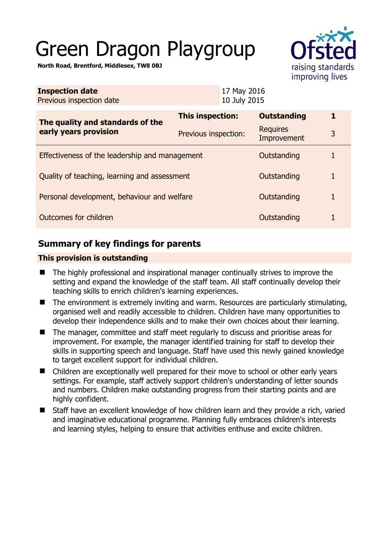# Green Dragon Playgroup

**North Road, Brentford, Middlesex, TW8 0BJ** 

| ÷                 |
|-------------------|
| raising standards |
| improving lives   |

| <b>Inspection date</b><br>Previous inspection date        |                      | 17 May 2016<br>10 July 2015 |                                |              |
|-----------------------------------------------------------|----------------------|-----------------------------|--------------------------------|--------------|
| The quality and standards of the<br>early years provision | This inspection:     |                             | <b>Outstanding</b>             | 1            |
|                                                           | Previous inspection: |                             | <b>Requires</b><br>Improvement | 3            |
| Effectiveness of the leadership and management            |                      |                             | Outstanding                    | 1            |
| Quality of teaching, learning and assessment              |                      |                             | Outstanding                    | 1            |
| Personal development, behaviour and welfare               |                      |                             | Outstanding                    | $\mathbf{1}$ |
| Outcomes for children                                     |                      |                             | Outstanding                    | 1            |

# **Summary of key findings for parents**

## **This provision is outstanding**

- The highly professional and inspirational manager continually strives to improve the setting and expand the knowledge of the staff team. All staff continually develop their teaching skills to enrich children's learning experiences.
- The environment is extremely inviting and warm. Resources are particularly stimulating, organised well and readily accessible to children. Children have many opportunities to develop their independence skills and to make their own choices about their learning.
- The manager, committee and staff meet regularly to discuss and prioritise areas for improvement. For example, the manager identified training for staff to develop their skills in supporting speech and language. Staff have used this newly gained knowledge to target excellent support for individual children.
- Children are exceptionally well prepared for their move to school or other early years settings. For example, staff actively support children's understanding of letter sounds and numbers. Children make outstanding progress from their starting points and are highly confident.
- Staff have an excellent knowledge of how children learn and they provide a rich, varied and imaginative educational programme. Planning fully embraces children's interests and learning styles, helping to ensure that activities enthuse and excite children.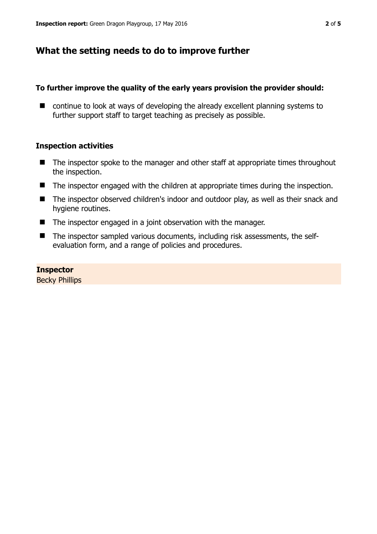## **What the setting needs to do to improve further**

#### **To further improve the quality of the early years provision the provider should:**

■ continue to look at ways of developing the already excellent planning systems to further support staff to target teaching as precisely as possible.

#### **Inspection activities**

- The inspector spoke to the manager and other staff at appropriate times throughout the inspection.
- The inspector engaged with the children at appropriate times during the inspection.
- The inspector observed children's indoor and outdoor play, as well as their snack and hygiene routines.
- The inspector engaged in a joint observation with the manager.
- The inspector sampled various documents, including risk assessments, the selfevaluation form, and a range of policies and procedures.

#### **Inspector**

Becky Phillips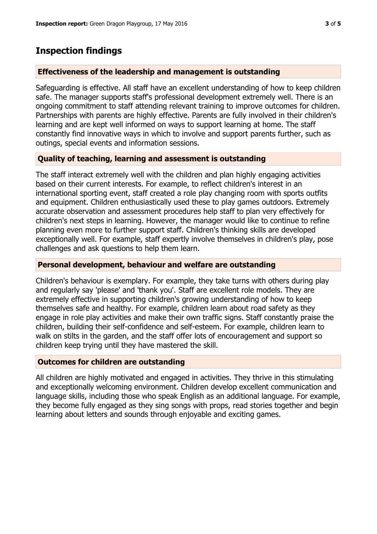# **Inspection findings**

## **Effectiveness of the leadership and management is outstanding**

Safeguarding is effective. All staff have an excellent understanding of how to keep children safe. The manager supports staff's professional development extremely well. There is an ongoing commitment to staff attending relevant training to improve outcomes for children. Partnerships with parents are highly effective. Parents are fully involved in their children's learning and are kept well informed on ways to support learning at home. The staff constantly find innovative ways in which to involve and support parents further, such as outings, special events and information sessions.

## **Quality of teaching, learning and assessment is outstanding**

The staff interact extremely well with the children and plan highly engaging activities based on their current interests. For example, to reflect children's interest in an international sporting event, staff created a role play changing room with sports outfits and equipment. Children enthusiastically used these to play games outdoors. Extremely accurate observation and assessment procedures help staff to plan very effectively for children's next steps in learning. However, the manager would like to continue to refine planning even more to further support staff. Children's thinking skills are developed exceptionally well. For example, staff expertly involve themselves in children's play, pose challenges and ask questions to help them learn.

## **Personal development, behaviour and welfare are outstanding**

Children's behaviour is exemplary. For example, they take turns with others during play and regularly say 'please' and 'thank you'. Staff are excellent role models. They are extremely effective in supporting children's growing understanding of how to keep themselves safe and healthy. For example, children learn about road safety as they engage in role play activities and make their own traffic signs. Staff constantly praise the children, building their self-confidence and self-esteem. For example, children learn to walk on stilts in the garden, and the staff offer lots of encouragement and support so children keep trying until they have mastered the skill.

## **Outcomes for children are outstanding**

All children are highly motivated and engaged in activities. They thrive in this stimulating and exceptionally welcoming environment. Children develop excellent communication and language skills, including those who speak English as an additional language. For example, they become fully engaged as they sing songs with props, read stories together and begin learning about letters and sounds through enjoyable and exciting games.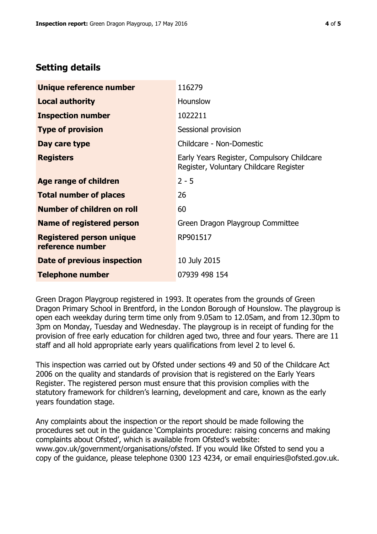## **Setting details**

| Unique reference number                             | 116279                                                                               |
|-----------------------------------------------------|--------------------------------------------------------------------------------------|
| <b>Local authority</b>                              | <b>Hounslow</b>                                                                      |
| <b>Inspection number</b>                            | 1022211                                                                              |
| <b>Type of provision</b>                            | Sessional provision                                                                  |
| Day care type                                       | Childcare - Non-Domestic                                                             |
| <b>Registers</b>                                    | Early Years Register, Compulsory Childcare<br>Register, Voluntary Childcare Register |
| Age range of children                               | $2 - 5$                                                                              |
| <b>Total number of places</b>                       | 26                                                                                   |
| Number of children on roll                          | 60                                                                                   |
| Name of registered person                           | Green Dragon Playgroup Committee                                                     |
| <b>Registered person unique</b><br>reference number | RP901517                                                                             |
| Date of previous inspection                         | 10 July 2015                                                                         |
| <b>Telephone number</b>                             | 07939 498 154                                                                        |

Green Dragon Playgroup registered in 1993. It operates from the grounds of Green Dragon Primary School in Brentford, in the London Borough of Hounslow. The playgroup is open each weekday during term time only from 9.05am to 12.05am, and from 12.30pm to 3pm on Monday, Tuesday and Wednesday. The playgroup is in receipt of funding for the provision of free early education for children aged two, three and four years. There are 11 staff and all hold appropriate early years qualifications from level 2 to level 6.

This inspection was carried out by Ofsted under sections 49 and 50 of the Childcare Act 2006 on the quality and standards of provision that is registered on the Early Years Register. The registered person must ensure that this provision complies with the statutory framework for children's learning, development and care, known as the early years foundation stage.

Any complaints about the inspection or the report should be made following the procedures set out in the guidance 'Complaints procedure: raising concerns and making complaints about Ofsted', which is available from Ofsted's website: www.gov.uk/government/organisations/ofsted. If you would like Ofsted to send you a copy of the guidance, please telephone 0300 123 4234, or email enquiries@ofsted.gov.uk.